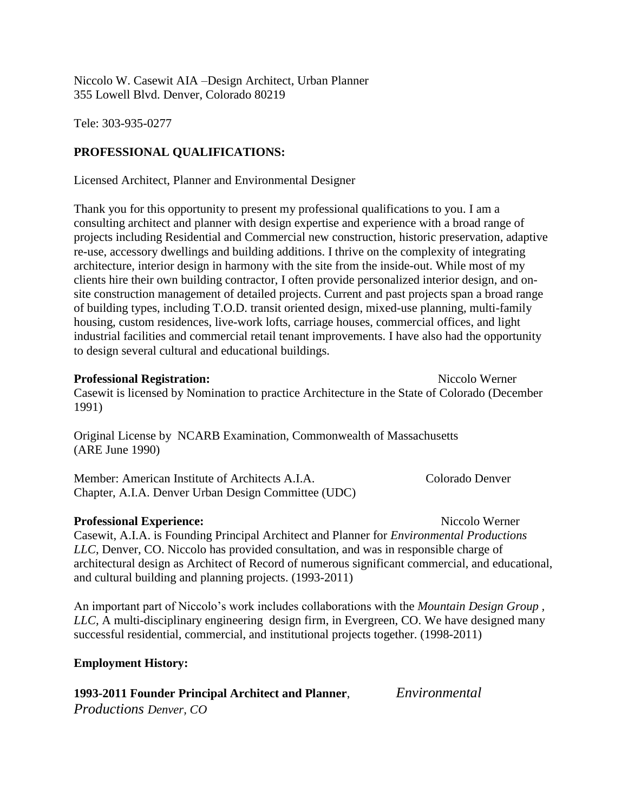Niccolo W. Casewit AIA –Design Architect, Urban Planner 355 Lowell Blvd. Denver, Colorado 80219

Tele: 303-935-0277

# **PROFESSIONAL QUALIFICATIONS:**

Licensed Architect, Planner and Environmental Designer

Thank you for this opportunity to present my professional qualifications to you. I am a consulting architect and planner with design expertise and experience with a broad range of projects including Residential and Commercial new construction, historic preservation, adaptive re-use, accessory dwellings and building additions. I thrive on the complexity of integrating architecture, interior design in harmony with the site from the inside-out. While most of my clients hire their own building contractor, I often provide personalized interior design, and onsite construction management of detailed projects. Current and past projects span a broad range of building types, including T.O.D. transit oriented design, mixed-use planning, multi-family housing, custom residences, live-work lofts, carriage houses, commercial offices, and light industrial facilities and commercial retail tenant improvements. I have also had the opportunity to design several cultural and educational buildings.

#### **Professional Registration: Niccolo Werner Niccolo Werner**

Casewit is licensed by Nomination to practice Architecture in the State of Colorado (December 1991)

Original License by NCARB Examination, Commonwealth of Massachusetts (ARE June 1990)

| Member: American Institute of Architects A.I.A.     | Colorado Denver |
|-----------------------------------------------------|-----------------|
| Chapter, A.I.A. Denver Urban Design Committee (UDC) |                 |

#### **Professional Experience: Niccolo Werner Niccolo Werner**

Casewit, A.I.A. is Founding Principal Architect and Planner for *Environmental Productions LLC*, Denver, CO. Niccolo has provided consultation, and was in responsible charge of architectural design as Architect of Record of numerous significant commercial, and educational, and cultural building and planning projects. (1993-2011)

An important part of Niccolo's work includes collaborations with the *Mountain Design Group , LLC,* A multi-disciplinary engineering design firm, in Evergreen, CO. We have designed many successful residential, commercial, and institutional projects together. (1998-2011)

# **Employment History:**

# **1993-2011 Founder Principal Architect and Planner**, *Environmental*

*Productions Denver, CO*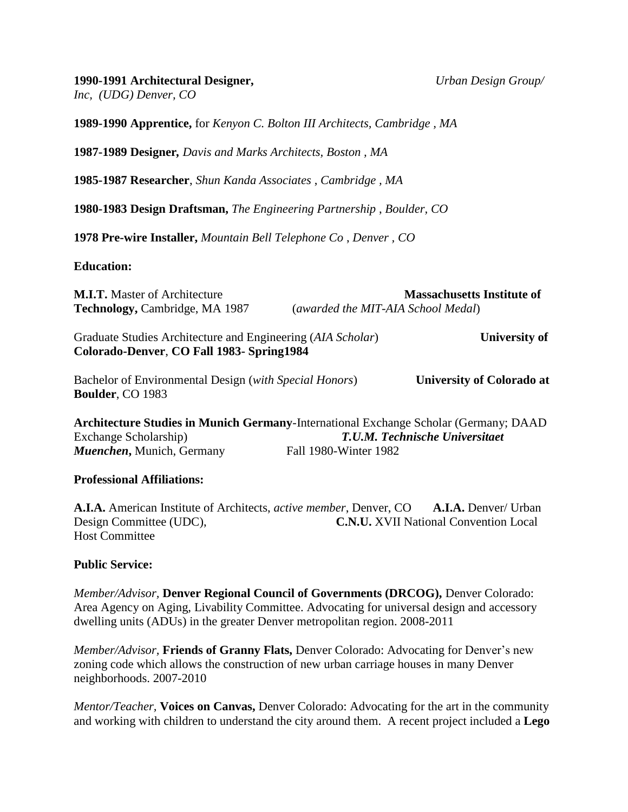**1990-1991 Architectural Designer,** *Urban Design Group/* 

*Inc, (UDG) Denver, CO*

**1989-1990 Apprentice,** for *Kenyon C. Bolton III Architects, Cambridge , MA* 

**1987-1989 Designer***, Davis and Marks Architects, Boston , MA* 

**1985-1987 Researcher**, *Shun Kanda Associates* , *Cambridge , MA* 

**1980-1983 Design Draftsman,** *The Engineering Partnership* , *Boulder, CO* 

**1978 Pre-wire Installer,** *Mountain Bell Telephone Co* , *Denver , CO* 

**Education:** 

| <b>M.I.T.</b> Master of Architecture | <b>Massachusetts Institute of</b>  |
|--------------------------------------|------------------------------------|
| Technology, Cambridge, MA 1987       | (awarded the MIT-AIA School Medal) |

Graduate Studies Architecture and Engineering (*AIA Scholar*) **University of Colorado-Denver**, **CO Fall 1983- Spring1984**

Bachelor of Environmental Design (*with Special Honors*) **University of Colorado at Boulder**, CO 1983

**Architecture Studies in Munich Germany**-International Exchange Scholar (Germany; DAAD Exchange Scholarship) *T.U.M. Technische Universitaet Muenchen*, Munich, Germany Fall 1980-Winter 1982

### **Professional Affiliations:**

**A.I.A.** American Institute of Architects, *active member*, Denver, CO **A.I.A.** Denver/ Urban Design Committee (UDC), **C.N.U.** XVII National Convention Local Host Committee

#### **Public Service:**

*Member/Advisor,* **Denver Regional Council of Governments (DRCOG),** Denver Colorado: Area Agency on Aging, Livability Committee. Advocating for universal design and accessory dwelling units (ADUs) in the greater Denver metropolitan region. 2008-2011

*Member/Advisor,* **Friends of Granny Flats,** Denver Colorado: Advocating for Denver's new zoning code which allows the construction of new urban carriage houses in many Denver neighborhoods. 2007-2010

*Mentor/Teacher,* **Voices on Canvas,** Denver Colorado: Advocating for the art in the community and working with children to understand the city around them. A recent project included a **Lego**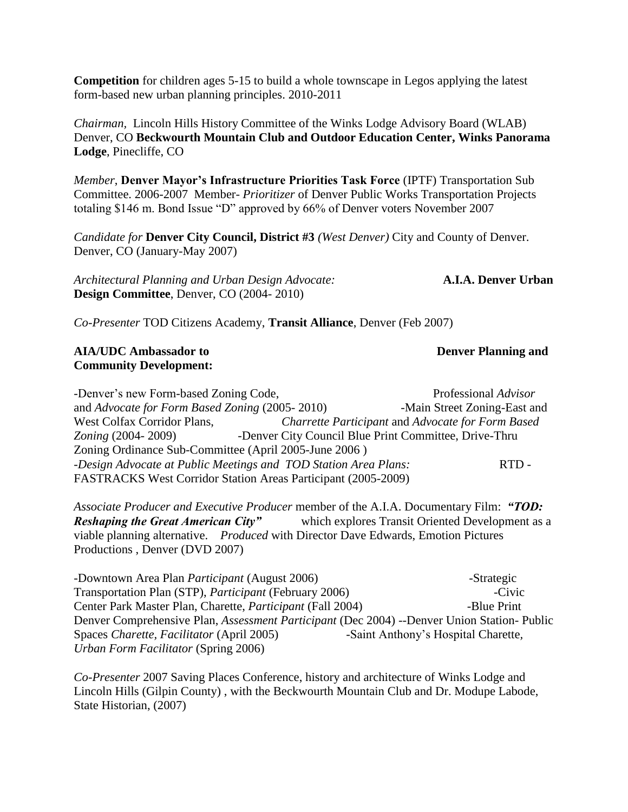**Competition** for children ages 5-15 to build a whole townscape in Legos applying the latest form-based new urban planning principles. 2010-2011

*Chairman,* Lincoln Hills History Committee of the Winks Lodge Advisory Board (WLAB) Denver, CO **Beckwourth Mountain Club and Outdoor Education Center, Winks Panorama Lodge**, Pinecliffe, CO

*Member*, **Denver Mayor's Infrastructure Priorities Task Force** (IPTF) Transportation Sub Committee. 2006-2007 Member- *Prioritizer* of Denver Public Works Transportation Projects totaling \$146 m. Bond Issue "D" approved by 66% of Denver voters November 2007

*Candidate for* **Denver City Council, District #3** *(West Denver)* City and County of Denver. Denver, CO (January-May 2007)

*Architectural Planning and Urban Design Advocate:* **A.I.A. Denver Urban Design Committee**, Denver, CO (2004- 2010)

*Co-Presenter* TOD Citizens Academy, **Transit Alliance**, Denver (Feb 2007)

#### **AIA/UDC Ambassador to Denver Planning and Community Development:**

-Denver's new Form-based Zoning Code, Professional *Advisor* and *Advocate for Form Based Zoning* (2005- 2010) -Main Street Zoning-East and West Colfax Corridor Plans, *Charrette Participant* and *Advocate for Form Based Zoning* (2004- 2009) -Denver City Council Blue Print Committee, Drive-Thru Zoning Ordinance Sub-Committee (April 2005-June 2006 ) *-Design Advocate at Public Meetings and TOD Station Area Plans:* RTD -FASTRACKS West Corridor Station Areas Participant (2005-2009)

*Associate Producer and Executive Producer* member of the A.I.A. Documentary Film: *"TOD: Reshaping the Great American City"* which explores Transit Oriented Development as a viable planning alternative. *Produced* with Director Dave Edwards, Emotion Pictures Productions , Denver (DVD 2007)

-Downtown Area Plan *Participant* (August 2006)-Strategic Transportation Plan (STP), *Participant* (February 2006) -Civic Center Park Master Plan, Charette, *Participant* (Fall 2004) -Blue Print Denver Comprehensive Plan, *Assessment Participant* (Dec 2004) --Denver Union Station- Public Spaces *Charette, Facilitator* (April 2005) -Saint Anthony's Hospital Charette*, Urban Form Facilitator* (Spring 2006)

*Co-Presenter* 2007 Saving Places Conference, history and architecture of Winks Lodge and Lincoln Hills (Gilpin County) , with the Beckwourth Mountain Club and Dr. Modupe Labode, State Historian, (2007)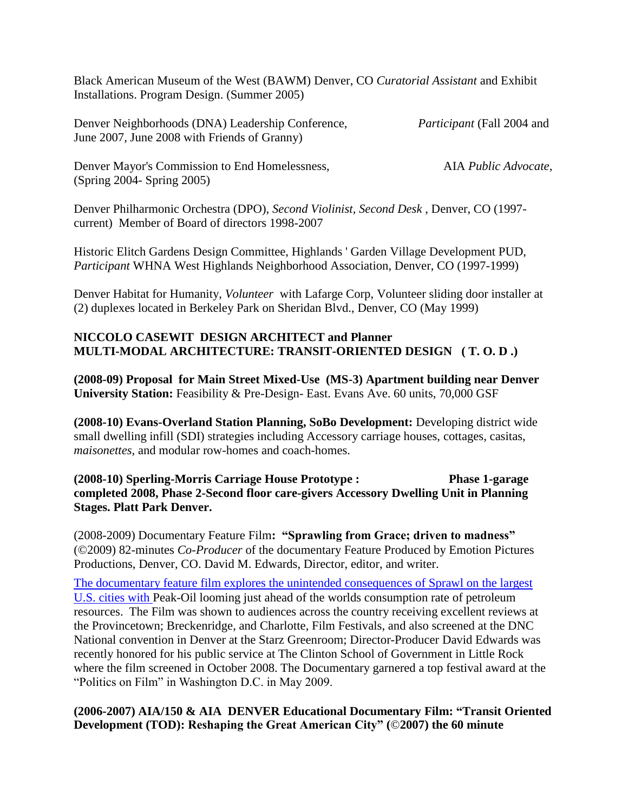Black American Museum of the West (BAWM) Denver, CO *Curatorial Assistant* and Exhibit Installations. Program Design. (Summer 2005)

Denver Neighborhoods (DNA) Leadership Conference, *Participant* (Fall 2004 and June 2007, June 2008 with Friends of Granny)

Denver Mayor's Commission to End Homelessness, AIA *Public Advocate,*  (Spring 2004- Spring 2005)

Denver Philharmonic Orchestra (DPO), *Second Violinist, Second Desk* , Denver, CO (1997 current) Member of Board of directors 1998-2007

Historic Elitch Gardens Design Committee, Highlands ' Garden Village Development PUD, *Participant* WHNA West Highlands Neighborhood Association, Denver, CO (1997-1999)

Denver Habitat for Humanity, *Volunteer* with Lafarge Corp, Volunteer sliding door installer at (2) duplexes located in Berkeley Park on Sheridan Blvd., Denver, CO (May 1999)

### **NICCOLO CASEWIT DESIGN ARCHITECT and Planner MULTI-MODAL ARCHITECTURE: TRANSIT-ORIENTED DESIGN ( T. O. D .)**

**(2008-09) Proposal for Main Street Mixed-Use (MS-3) Apartment building near Denver University Station:** Feasibility & Pre-Design- East. Evans Ave. 60 units, 70,000 GSF

**(2008-10) Evans-Overland Station Planning, SoBo Development:** Developing district wide small dwelling infill (SDI) strategies including Accessory carriage houses, cottages, casitas, *maisonettes*, and modular row-homes and coach-homes.

## **(2008-10) Sperling-Morris Carriage House Prototype : Phase 1-garage completed 2008, Phase 2-Second floor care-givers Accessory Dwelling Unit in Planning Stages. Platt Park Denver.**

(2008-2009) Documentary Feature Film**: "Sprawling from Grace; driven to madness"** (©2009) 82-minutes *Co-Producer* of the documentary Feature Produced by Emotion Pictures Productions, Denver, CO. David M. Edwards, Director, editor, and writer.

The documentary feature film explores the unintended consequences of Sprawl on the largest U.S. cities with Peak-Oil looming just ahead of the worlds consumption rate of petroleum resources. The Film was shown to audiences across the country receiving excellent reviews at the Provincetown; Breckenridge, and Charlotte, Film Festivals, and also screened at the DNC National convention in Denver at the Starz Greenroom; Director-Producer David Edwards was recently honored for his public service at The Clinton School of Government in Little Rock where the film screened in October 2008. The Documentary garnered a top festival award at the "Politics on Film" in Washington D.C. in May 2009.

# **(2006-2007) AIA/150 & AIA DENVER Educational Documentary Film: "Transit Oriented Development (TOD): Reshaping the Great American City" (**©**2007) the 60 minute**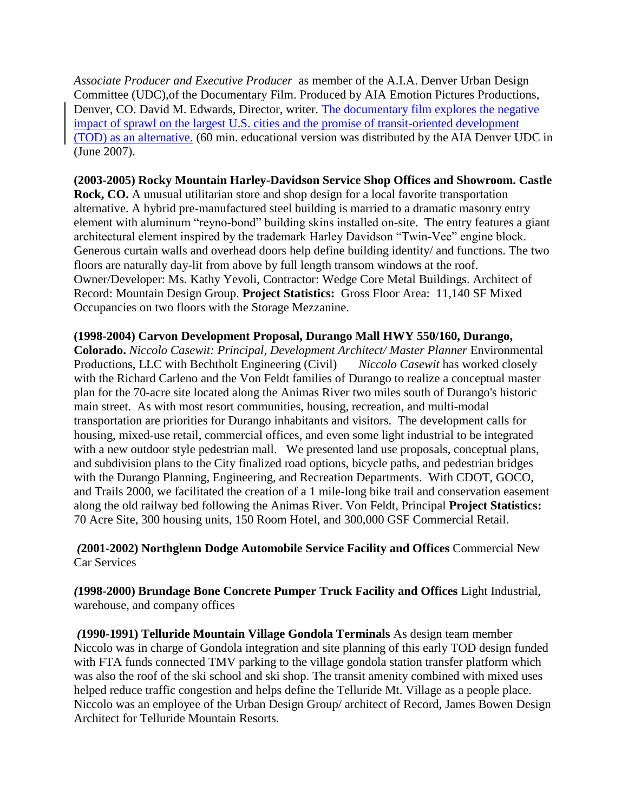*Associate Producer and Executive Producer* as member of the A.I.A. Denver Urban Design Committee (UDC),of the Documentary Film. Produced by AIA Emotion Pictures Productions, Denver, CO. David M. Edwards, Director, writer. The documentary film explores the negative impact of sprawl on the largest U.S. cities and the promise of transit-oriented development (TOD) as an alternative. (60 min. educational version was distributed by the AIA Denver UDC in (June 2007).

**(2003-2005) Rocky Mountain Harley-Davidson Service Shop Offices and Showroom. Castle Rock, CO.** A unusual utilitarian store and shop design for a local favorite transportation alternative. A hybrid pre-manufactured steel building is married to a dramatic masonry entry element with aluminum "reyno-bond" building skins installed on-site. The entry features a giant architectural element inspired by the trademark Harley Davidson "Twin-Vee" engine block. Generous curtain walls and overhead doors help define building identity/ and functions. The two floors are naturally day-lit from above by full length transom windows at the roof. Owner/Developer: Ms. Kathy Yevoli, Contractor: Wedge Core Metal Buildings. Architect of Record: Mountain Design Group. **Project Statistics:** Gross Floor Area: 11,140 SF Mixed Occupancies on two floors with the Storage Mezzanine.

#### **(1998-2004) Carvon Development Proposal, Durango Mall HWY 550/160, Durango,**

**Colorado.** *Niccolo Casewit: Principal, Development Architect/ Master Planner* Environmental Productions, LLC with Bechtholt Engineering (Civil) *Niccolo Casewit* has worked closely with the Richard Carleno and the Von Feldt families of Durango to realize a conceptual master plan for the 70-acre site located along the Animas River two miles south of Durango's historic main street. As with most resort communities, housing, recreation, and multi-modal transportation are priorities for Durango inhabitants and visitors. The development calls for housing, mixed-use retail, commercial offices, and even some light industrial to be integrated with a new outdoor style pedestrian mall. We presented land use proposals, conceptual plans, and subdivision plans to the City finalized road options, bicycle paths, and pedestrian bridges with the Durango Planning, Engineering, and Recreation Departments. With CDOT, GOCO, and Trails 2000, we facilitated the creation of a 1 mile-long bike trail and conservation easement along the old railway bed following the Animas River. Von Feldt, Principal **Project Statistics:**  70 Acre Site, 300 housing units, 150 Room Hotel, and 300,000 GSF Commercial Retail.

*(***2001-2002) Northglenn Dodge Automobile Service Facility and Offices** Commercial New Car Services

*(***1998-2000) Brundage Bone Concrete Pumper Truck Facility and Offices** Light Industrial, warehouse, and company offices

*(***1990-1991) Telluride Mountain Village Gondola Terminals** As design team member Niccolo was in charge of Gondola integration and site planning of this early TOD design funded with FTA funds connected TMV parking to the village gondola station transfer platform which was also the roof of the ski school and ski shop. The transit amenity combined with mixed uses helped reduce traffic congestion and helps define the Telluride Mt. Village as a people place. Niccolo was an employee of the Urban Design Group/ architect of Record, James Bowen Design Architect for Telluride Mountain Resorts.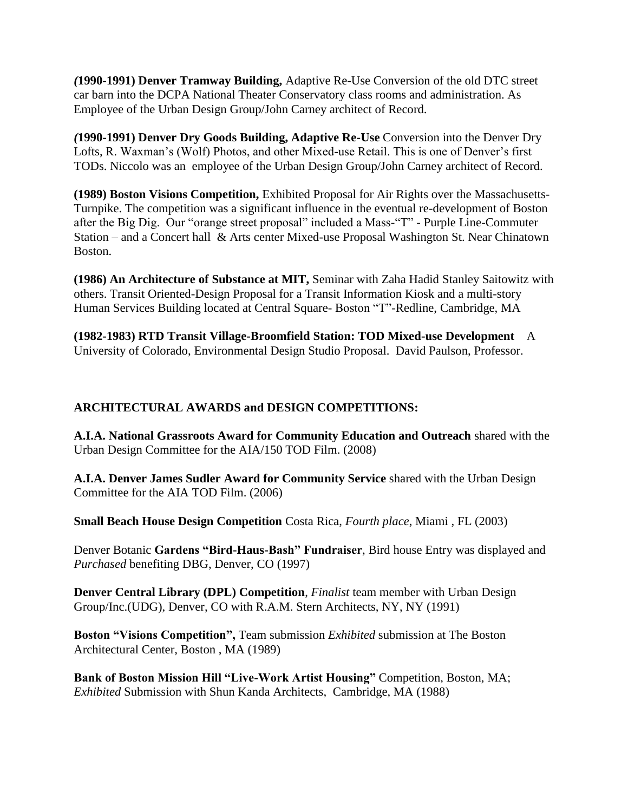*(***1990-1991) Denver Tramway Building,** Adaptive Re-Use Conversion of the old DTC street car barn into the DCPA National Theater Conservatory class rooms and administration. As Employee of the Urban Design Group/John Carney architect of Record.

*(***1990-1991) Denver Dry Goods Building, Adaptive Re-Use** Conversion into the Denver Dry Lofts, R. Waxman's (Wolf) Photos, and other Mixed-use Retail. This is one of Denver's first TODs. Niccolo was an employee of the Urban Design Group/John Carney architect of Record.

**(1989) Boston Visions Competition,** Exhibited Proposal for Air Rights over the Massachusetts-Turnpike. The competition was a significant influence in the eventual re-development of Boston after the Big Dig. Our "orange street proposal" included a Mass-"T" - Purple Line-Commuter Station – and a Concert hall & Arts center Mixed-use Proposal Washington St. Near Chinatown Boston.

**(1986) An Architecture of Substance at MIT,** Seminar with Zaha Hadid Stanley Saitowitz with others. Transit Oriented-Design Proposal for a Transit Information Kiosk and a multi-story Human Services Building located at Central Square-Boston "T"-Redline, Cambridge, MA

**(1982-1983) RTD Transit Village-Broomfield Station: TOD Mixed-use Development** A University of Colorado, Environmental Design Studio Proposal. David Paulson, Professor.

# **ARCHITECTURAL AWARDS and DESIGN COMPETITIONS:**

**A.I.A. National Grassroots Award for Community Education and Outreach** shared with the Urban Design Committee for the AIA/150 TOD Film. (2008)

**A.I.A. Denver James Sudler Award for Community Service** shared with the Urban Design Committee for the AIA TOD Film. (2006)

**Small Beach House Design Competition** Costa Rica, *Fourth place*, Miami , FL (2003)

Denver Botanic **Gardens "Bird-Haus-Bash" Fundraiser**, Bird house Entry was displayed and *Purchased* benefiting DBG, Denver, CO (1997)

**Denver Central Library (DPL) Competition,** *Finalist* team member with Urban Design Group/Inc.(UDG), Denver, CO with R.A.M. Stern Architects, NY, NY (1991)

**Boston "Visions Competition",** Team submission *Exhibited* submission at The Boston Architectural Center, Boston , MA (1989)

**Bank of Boston Mission Hill "Live-Work Artist Housing"** Competition, Boston, MA; *Exhibited* Submission with Shun Kanda Architects, Cambridge, MA (1988)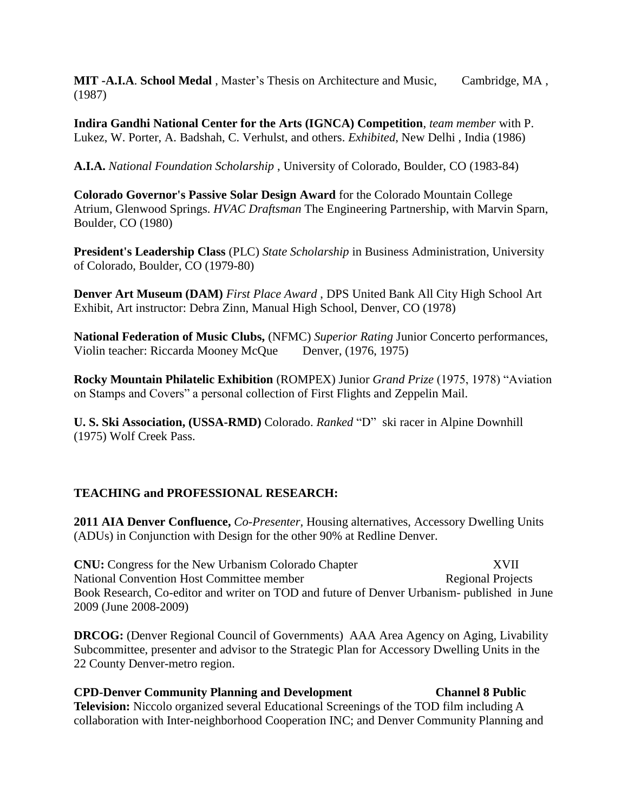**MIT -A.I.A**. **School Medal** , Master's Thesis on Architecture and Music, Cambridge, MA , (1987)

**Indira Gandhi National Center for the Arts (IGNCA) Competition**, *team member* with P. Lukez, W. Porter, A. Badshah, C. Verhulst, and others. *Exhibited*, New Delhi , India (1986)

**A.I.A.** *National Foundation Scholarship* , University of Colorado, Boulder, CO (1983-84)

**Colorado Governor's Passive Solar Design Award** for the Colorado Mountain College Atrium, Glenwood Springs. *HVAC Draftsman* The Engineering Partnership, with Marvin Sparn, Boulder, CO (1980)

**President's Leadership Class** (PLC) *State Scholarship* in Business Administration, University of Colorado, Boulder, CO (1979-80)

**Denver Art Museum (DAM)** *First Place Award* , DPS United Bank All City High School Art Exhibit, Art instructor: Debra Zinn, Manual High School, Denver, CO (1978)

**National Federation of Music Clubs,** (NFMC) *Superior Rating* Junior Concerto performances, Violin teacher: Riccarda Mooney McQue Denver, (1976, 1975)

**Rocky Mountain Philatelic Exhibition** (ROMPEX) Junior *Grand Prize* (1975, 1978) "Aviation on Stamps and Covers" a personal collection of First Flights and Zeppelin Mail.

**U. S. Ski Association, (USSA-RMD)** Colorado. *Ranked* "D" ski racer in Alpine Downhill (1975) Wolf Creek Pass.

# **TEACHING and PROFESSIONAL RESEARCH:**

**2011 AIA Denver Confluence,** *Co-Presenter,* Housing alternatives, Accessory Dwelling Units (ADUs) in Conjunction with Design for the other 90% at Redline Denver.

**CNU:** Congress for the New Urbanism Colorado Chapter XVII National Convention Host Committee member Regional Projects Book Research, Co-editor and writer on TOD and future of Denver Urbanism- published in June 2009 (June 2008-2009)

**DRCOG:** (Denver Regional Council of Governments) AAA Area Agency on Aging, Livability Subcommittee, presenter and advisor to the Strategic Plan for Accessory Dwelling Units in the 22 County Denver-metro region.

**CPD-Denver Community Planning and Development Channel 8 Public Television:** Niccolo organized several Educational Screenings of the TOD film including A collaboration with Inter-neighborhood Cooperation INC; and Denver Community Planning and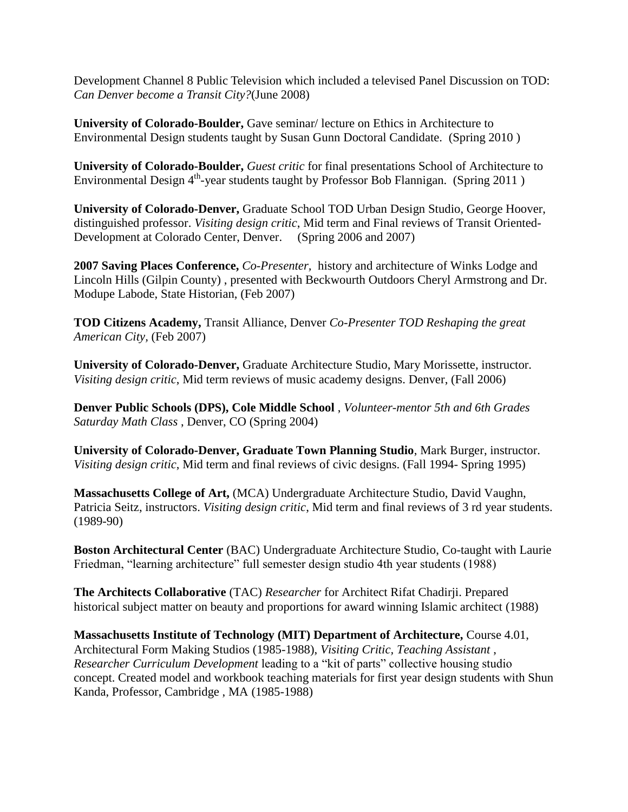Development Channel 8 Public Television which included a televised Panel Discussion on TOD: *Can Denver become a Transit City?*(June 2008)

**University of Colorado-Boulder,** Gave seminar/ lecture on Ethics in Architecture to Environmental Design students taught by Susan Gunn Doctoral Candidate. (Spring 2010 )

**University of Colorado-Boulder,** *Guest critic* for final presentations School of Architecture to Environmental Design 4<sup>th</sup>-year students taught by Professor Bob Flannigan. (Spring 2011)

**University of Colorado-Denver,** Graduate School TOD Urban Design Studio, George Hoover, distinguished professor. *Visiting design critic*, Mid term and Final reviews of Transit Oriented-Development at Colorado Center, Denver. (Spring 2006 and 2007)

**2007 Saving Places Conference,** *Co-Presenter,* history and architecture of Winks Lodge and Lincoln Hills (Gilpin County) , presented with Beckwourth Outdoors Cheryl Armstrong and Dr. Modupe Labode, State Historian, (Feb 2007)

**TOD Citizens Academy,** Transit Alliance, Denver *Co-Presenter TOD Reshaping the great American City,* (Feb 2007)

**University of Colorado-Denver,** Graduate Architecture Studio, Mary Morissette, instructor. *Visiting design critic*, Mid term reviews of music academy designs. Denver, (Fall 2006)

**Denver Public Schools (DPS), Cole Middle School** , *Volunteer-mentor 5th and 6th Grades Saturday Math Class* , Denver, CO (Spring 2004)

**University of Colorado-Denver, Graduate Town Planning Studio**, Mark Burger, instructor. *Visiting design critic*, Mid term and final reviews of civic designs. (Fall 1994- Spring 1995)

**Massachusetts College of Art,** (MCA) Undergraduate Architecture Studio, David Vaughn, Patricia Seitz, instructors. *Visiting design critic*, Mid term and final reviews of 3 rd year students. (1989-90)

**Boston Architectural Center** (BAC) Undergraduate Architecture Studio, Co-taught with Laurie Friedman, "learning architecture" full semester design studio 4th year students (1988)

**The Architects Collaborative** (TAC) *Researcher* for Architect Rifat Chadirji. Prepared historical subject matter on beauty and proportions for award winning Islamic architect (1988)

**Massachusetts Institute of Technology (MIT) Department of Architecture,** Course 4.01, Architectural Form Making Studios (1985-1988), *Visiting Critic, Teaching Assistant* , *Researcher Curriculum Development* leading to a "kit of parts" collective housing studio concept. Created model and workbook teaching materials for first year design students with Shun Kanda, Professor, Cambridge , MA (1985-1988)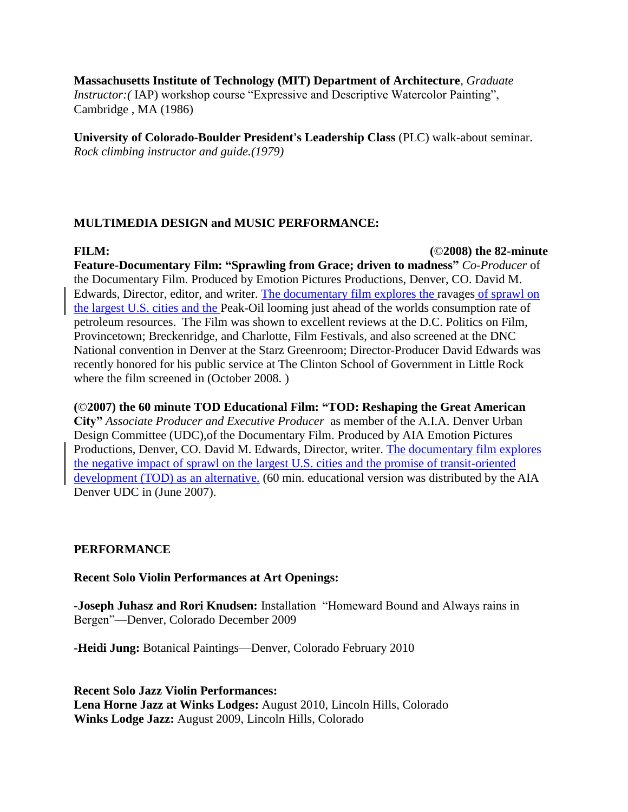## **Massachusetts Institute of Technology (MIT) Department of Architecture**, *Graduate*

*Instructor:*(*IAP*) workshop course "Expressive and Descriptive Watercolor Painting", Cambridge , MA (1986)

**University of Colorado-Boulder President's Leadership Class** (PLC) walk-about seminar. *Rock climbing instructor and guide.(1979)* 

# **MULTIMEDIA DESIGN and MUSIC PERFORMANCE:**

#### **FILM: (**©**2008) the 82-minute**

**Feature-Documentary Film: "Sprawling from Grace; driven to madness"** *Co-Producer* of the Documentary Film. Produced by Emotion Pictures Productions, Denver, CO. David M. Edwards, Director, editor, and writer. The documentary film explores the ravages of sprawl on the largest U.S. cities and the Peak-Oil looming just ahead of the worlds consumption rate of petroleum resources. The Film was shown to excellent reviews at the D.C. Politics on Film, Provincetown; Breckenridge, and Charlotte, Film Festivals, and also screened at the DNC National convention in Denver at the Starz Greenroom; Director-Producer David Edwards was recently honored for his public service at The Clinton School of Government in Little Rock where the film screened in (October 2008. )

**(**©**2007) the 60 minute TOD Educational Film: "TOD: Reshaping the Great American City"** *Associate Producer and Executive Producer* as member of the A.I.A. Denver Urban Design Committee (UDC),of the Documentary Film. Produced by AIA Emotion Pictures Productions, Denver, CO. David M. Edwards, Director, writer. The documentary film explores the negative impact of sprawl on the largest U.S. cities and the promise of transit-oriented development (TOD) as an alternative. (60 min. educational version was distributed by the AIA Denver UDC in (June 2007).

# **PERFORMANCE**

**Recent Solo Violin Performances at Art Openings:**

**-Joseph Juhasz and Rori Knudsen:** Installation "Homeward Bound and Always rains in Bergen"—Denver, Colorado December 2009

**-Heidi Jung:** Botanical Paintings—Denver, Colorado February 2010

**Recent Solo Jazz Violin Performances: Lena Horne Jazz at Winks Lodges:** August 2010, Lincoln Hills, Colorado **Winks Lodge Jazz:** August 2009, Lincoln Hills, Colorado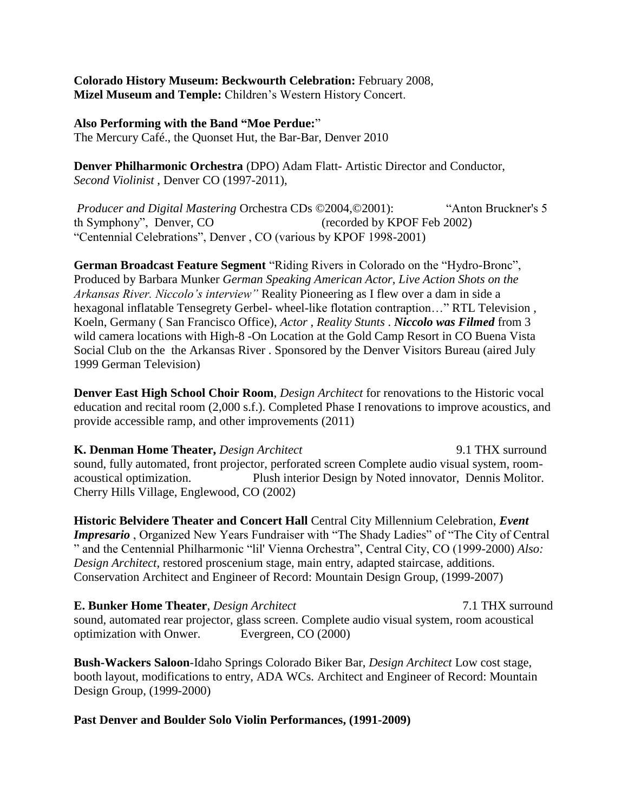**Colorado History Museum: Beckwourth Celebration:** February 2008, **Mizel Museum and Temple:** Children's Western History Concert.

Also Performing with the Band "Moe Perdue:" The Mercury Café., the Quonset Hut, the Bar-Bar, Denver 2010

**Denver Philharmonic Orchestra** (DPO) Adam Flatt- Artistic Director and Conductor, *Second Violinist* , Denver CO (1997-2011),

*Producer and Digital Mastering* Orchestra CDs ©2004,©2001): "Anton Bruckner's 5 th Symphony", Denver, CO (recorded by KPOF Feb 2002) ―Centennial Celebrations‖, Denver , CO (various by KPOF 1998-2001)

**German Broadcast Feature Segment** "Riding Rivers in Colorado on the "Hydro-Bronc", Produced by Barbara Munker *German Speaking American Actor, Live Action Shots on the Arkansas River. Niccolo's interview"* Reality Pioneering as I flew over a dam in side a hexagonal inflatable Tensegrety Gerbel- wheel-like flotation contraption..." RTL Television, Koeln, Germany ( San Francisco Office), *Actor* , *Reality Stunts* . *Niccolo was Filmed* from 3 wild camera locations with High-8 -On Location at the Gold Camp Resort in CO Buena Vista Social Club on the the Arkansas River . Sponsored by the Denver Visitors Bureau (aired July 1999 German Television)

**Denver East High School Choir Room**, *Design Architect* for renovations to the Historic vocal education and recital room (2,000 s.f.). Completed Phase I renovations to improve acoustics, and provide accessible ramp, and other improvements (2011)

**K. Denman Home Theater,** *Design Architect* 9.1 THX surround sound, fully automated, front projector, perforated screen Complete audio visual system, roomacoustical optimization. Plush interior Design by Noted innovator, Dennis Molitor. Cherry Hills Village, Englewood, CO (2002)

**Historic Belvidere Theater and Concert Hall** Central City Millennium Celebration, *Event Impresario*, Organized New Years Fundraiser with "The Shady Ladies" of "The City of Central " and the Centennial Philharmonic "lil' Vienna Orchestra", Central City, CO (1999-2000) *Also*: *Design Architect*, restored proscenium stage, main entry, adapted staircase, additions. Conservation Architect and Engineer of Record: Mountain Design Group, (1999-2007)

**E. Bunker Home Theater**, *Design Architect* 7.1 THX surround sound, automated rear projector, glass screen. Complete audio visual system, room acoustical optimization with Onwer. Evergreen, CO (2000)

**Bush-Wackers Saloon**-Idaho Springs Colorado Biker Bar, *Design Architect* Low cost stage, booth layout, modifications to entry, ADA WCs. Architect and Engineer of Record: Mountain Design Group, (1999-2000)

**Past Denver and Boulder Solo Violin Performances, (1991-2009)**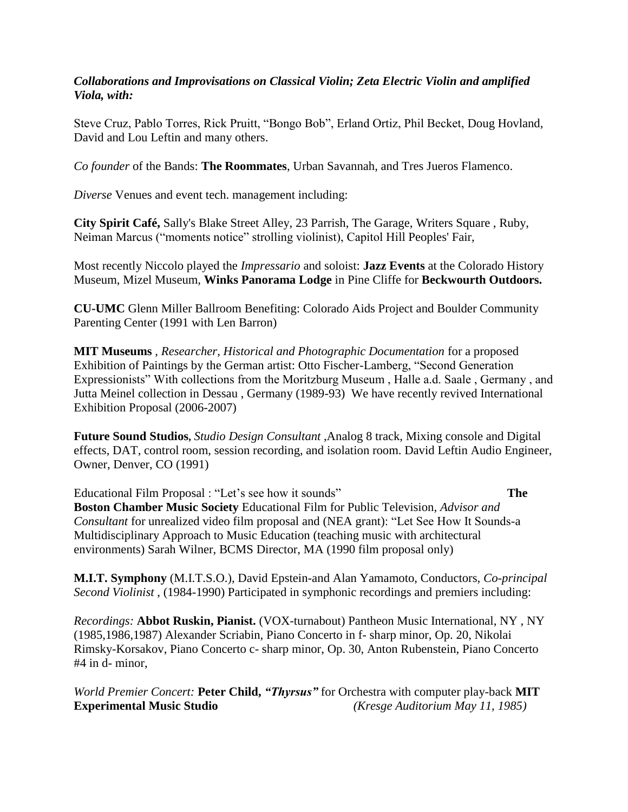# *Collaborations and Improvisations on Classical Violin; Zeta Electric Violin and amplified Viola, with:*

Steve Cruz, Pablo Torres, Rick Pruitt, "Bongo Bob", Erland Ortiz, Phil Becket, Doug Hovland, David and Lou Leftin and many others.

*Co founder* of the Bands: **The Roommates**, Urban Savannah, and Tres Jueros Flamenco.

*Diverse* Venues and event tech. management including:

**City Spirit Café,** Sally's Blake Street Alley, 23 Parrish, The Garage, Writers Square , Ruby, Neiman Marcus ("moments notice" strolling violinist), Capitol Hill Peoples' Fair,

Most recently Niccolo played the *Impressario* and soloist: **Jazz Events** at the Colorado History Museum, Mizel Museum, **Winks Panorama Lodge** in Pine Cliffe for **Beckwourth Outdoors.**

**CU-UMC** Glenn Miller Ballroom Benefiting: Colorado Aids Project and Boulder Community Parenting Center (1991 with Len Barron)

**MIT Museums** , *Researcher, Historical and Photographic Documentation* for a proposed Exhibition of Paintings by the German artist: Otto Fischer-Lamberg, "Second Generation Expressionists" With collections from the Moritzburg Museum, Halle a.d. Saale, Germany, and Jutta Meinel collection in Dessau , Germany (1989-93) We have recently revived International Exhibition Proposal (2006-2007)

**Future Sound Studios,** *Studio Design Consultant* ,Analog 8 track, Mixing console and Digital effects, DAT, control room, session recording, and isolation room. David Leftin Audio Engineer, Owner, Denver, CO (1991)

Educational Film Proposal : "Let's see how it sounds" The **Boston Chamber Music Society** Educational Film for Public Television, *Advisor and Consultant* for unrealized video film proposal and (NEA grant): "Let See How It Sounds-a Multidisciplinary Approach to Music Education (teaching music with architectural environments) Sarah Wilner, BCMS Director, MA (1990 film proposal only)

**M.I.T. Symphony** (M.I.T.S.O.), David Epstein-and Alan Yamamoto, Conductors, *Co-principal Second Violinist* , (1984-1990) Participated in symphonic recordings and premiers including:

*Recordings:* **Abbot Ruskin, Pianist.** (VOX-turnabout) Pantheon Music International, NY , NY (1985,1986,1987) Alexander Scriabin, Piano Concerto in f- sharp minor, Op. 20, Nikolai Rimsky-Korsakov, Piano Concerto c- sharp minor, Op. 30, Anton Rubenstein, Piano Concerto #4 in d- minor,

*World Premier Concert:* **Peter Child,** *"Thyrsus"* for Orchestra with computer play-back **MIT Experimental Music Studio** *(Kresge Auditorium May 11, 1985)*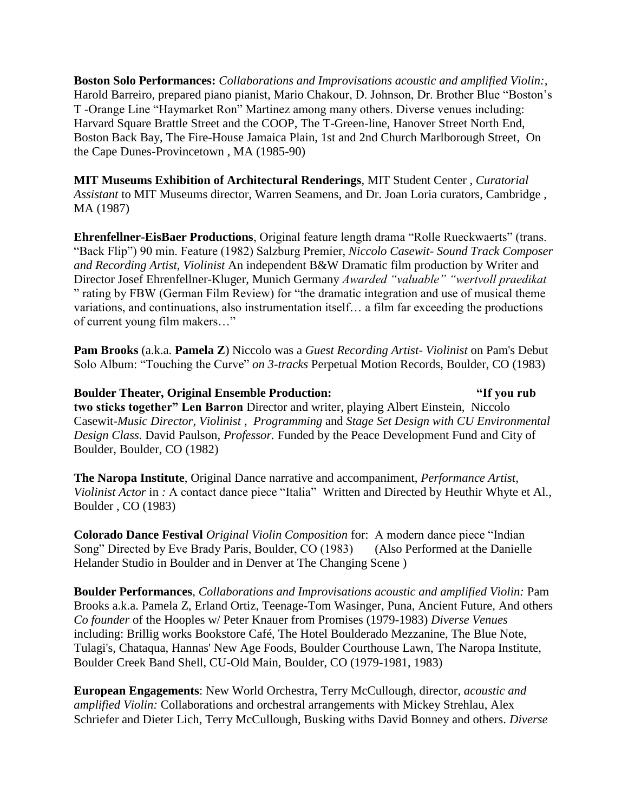**Boston Solo Performances:** *Collaborations and Improvisations acoustic and amplified Violin:,*  Harold Barreiro, prepared piano pianist, Mario Chakour, D. Johnson, Dr. Brother Blue "Boston's T-Orange Line "Haymarket Ron" Martinez among many others. Diverse venues including: Harvard Square Brattle Street and the COOP, The T-Green-line, Hanover Street North End, Boston Back Bay, The Fire-House Jamaica Plain, 1st and 2nd Church Marlborough Street, On the Cape Dunes-Provincetown , MA (1985-90)

**MIT Museums Exhibition of Architectural Renderings**, MIT Student Center , *Curatorial Assistant* to MIT Museums director, Warren Seamens, and Dr. Joan Loria curators, Cambridge , MA (1987)

**Ehrenfellner-EisBaer Productions**, Original feature length drama "Rolle Rueckwaerts" (trans. ―Back Flip‖) 90 min. Feature (1982) Salzburg Premier, *Niccolo Casewit- Sound Track Composer and Recording Artist, Violinist* An independent B&W Dramatic film production by Writer and Director Josef Ehrenfellner-Kluger, Munich Germany *Awarded "valuable" "wertvoll praedikat*  " rating by FBW (German Film Review) for "the dramatic integration and use of musical theme variations, and continuations, also instrumentation itself… a film far exceeding the productions of current young film makers..."

**Pam Brooks** (a.k.a. **Pamela Z**) Niccolo was a *Guest Recording Artist- Violinist* on Pam's Debut Solo Album: "Touching the Curve" on 3-tracks Perpetual Motion Records, Boulder, CO (1983)

#### **Boulder Theater, Original Ensemble Production: "If you rub**

**two sticks together" Len Barron** Director and writer, playing Albert Einstein, Niccolo Casewit-*Music Director, Violinist* , *Programming* and *Stage Set Design with CU Environmental Design Class.* David Paulson*, Professor.* Funded by the Peace Development Fund and City of Boulder, Boulder, CO (1982)

**The Naropa Institute**, Original Dance narrative and accompaniment, *Performance Artist, Violinist Actor* in *:* A contact dance piece "Italia" Written and Directed by Heuthir Whyte et Al., Boulder , CO (1983)

**Colorado Dance Festival** *Original Violin Composition* for: A modern dance piece "Indian Song" Directed by Eve Brady Paris, Boulder, CO (1983) (Also Performed at the Danielle Helander Studio in Boulder and in Denver at The Changing Scene )

**Boulder Performances**, *Collaborations and Improvisations acoustic and amplified Violin:* Pam Brooks a.k.a. Pamela Z, Erland Ortiz, Teenage-Tom Wasinger, Puna, Ancient Future, And others *Co founder* of the Hooples w/ Peter Knauer from Promises (1979-1983) *Diverse Venues*  including: Brillig works Bookstore Café, The Hotel Boulderado Mezzanine, The Blue Note, Tulagi's, Chataqua, Hannas' New Age Foods, Boulder Courthouse Lawn, The Naropa Institute, Boulder Creek Band Shell, CU-Old Main, Boulder, CO (1979-1981, 1983)

**European Engagements**: New World Orchestra, Terry McCullough, director, *acoustic and amplified Violin:* Collaborations and orchestral arrangements with Mickey Strehlau, Alex Schriefer and Dieter Lich, Terry McCullough, Busking withs David Bonney and others. *Diverse*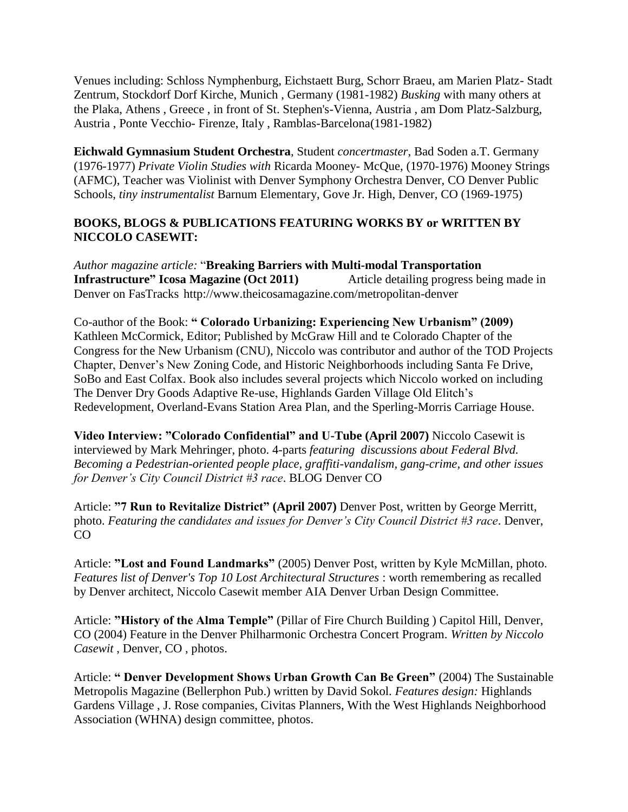Venues including: Schloss Nymphenburg, Eichstaett Burg, Schorr Braeu, am Marien Platz- Stadt Zentrum, Stockdorf Dorf Kirche, Munich , Germany (1981-1982) *Busking* with many others at the Plaka, Athens , Greece , in front of St. Stephen's-Vienna, Austria , am Dom Platz-Salzburg, Austria , Ponte Vecchio- Firenze, Italy , Ramblas-Barcelona(1981-1982)

**Eichwald Gymnasium Student Orchestra**, Student *concertmaster*, Bad Soden a.T. Germany (1976-1977) *Private Violin Studies with* Ricarda Mooney- McQue, (1970-1976) Mooney Strings (AFMC), Teacher was Violinist with Denver Symphony Orchestra Denver, CO Denver Public Schools, *tiny instrumentalist* Barnum Elementary, Gove Jr. High, Denver, CO (1969-1975)

# **BOOKS, BLOGS & PUBLICATIONS FEATURING WORKS BY or WRITTEN BY NICCOLO CASEWIT:**

*Author magazine article:* ―**Breaking Barriers with Multi-modal Transportation Infrastructure"** Icosa Magazine (Oct 2011) Article detailing progress being made in Denver on FasTracks http://www.theicosamagazine.com/metropolitan-denver

Co-author of the Book: **" Colorado Urbanizing: Experiencing New Urbanism" (2009)**  Kathleen McCormick, Editor; Published by McGraw Hill and te Colorado Chapter of the Congress for the New Urbanism (CNU), Niccolo was contributor and author of the TOD Projects Chapter, Denver's New Zoning Code, and Historic Neighborhoods including Santa Fe Drive, SoBo and East Colfax. Book also includes several projects which Niccolo worked on including The Denver Dry Goods Adaptive Re-use, Highlands Garden Village Old Elitch's Redevelopment, Overland-Evans Station Area Plan, and the Sperling-Morris Carriage House.

**Video Interview: "Colorado Confidential" and U-Tube (April 2007)** Niccolo Casewit is interviewed by Mark Mehringer, photo. 4-parts *featuring discussions about Federal Blvd. Becoming a Pedestrian-oriented people place, graffiti-vandalism, gang-crime, and other issues for Denver's City Council District #3 race*. BLOG Denver CO

Article: **"7 Run to Revitalize District" (April 2007)** Denver Post, written by George Merritt, photo. *Featuring the candidates and issues for Denver's City Council District #3 race*. Denver, CO

Article: **"Lost and Found Landmarks"** (2005) Denver Post, written by Kyle McMillan, photo. *Features list of Denver's Top 10 Lost Architectural Structures* : worth remembering as recalled by Denver architect, Niccolo Casewit member AIA Denver Urban Design Committee.

Article: **"History of the Alma Temple"** (Pillar of Fire Church Building ) Capitol Hill, Denver, CO (2004) Feature in the Denver Philharmonic Orchestra Concert Program. *Written by Niccolo Casewit* , Denver, CO , photos.

Article: **" Denver Development Shows Urban Growth Can Be Green"** (2004) The Sustainable Metropolis Magazine (Bellerphon Pub.) written by David Sokol. *Features design:* Highlands Gardens Village , J. Rose companies, Civitas Planners, With the West Highlands Neighborhood Association (WHNA) design committee, photos.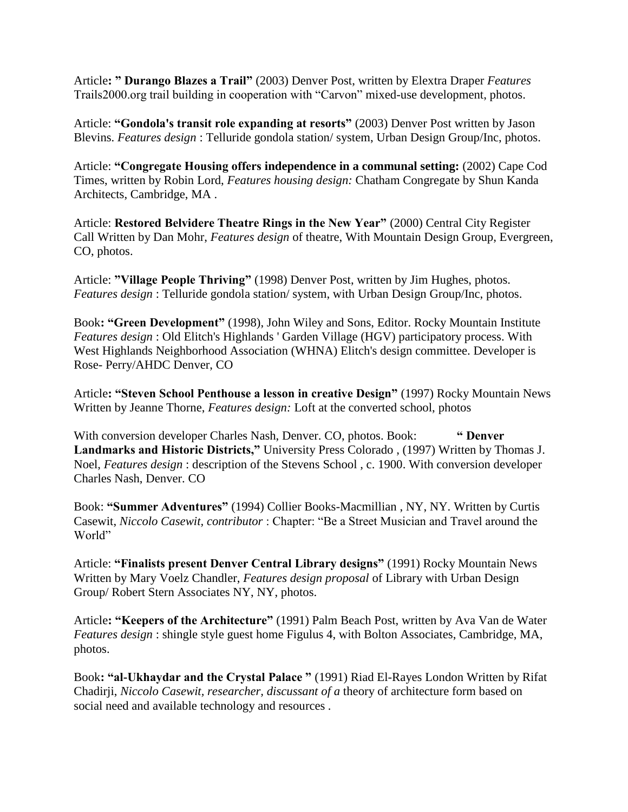Article**: " Durango Blazes a Trail"** (2003) Denver Post, written by Elextra Draper *Features*  Trails2000.org trail building in cooperation with "Carvon" mixed-use development, photos.

Article: **"Gondola's transit role expanding at resorts"** (2003) Denver Post written by Jason Blevins. *Features design* : Telluride gondola station/ system, Urban Design Group/Inc, photos.

Article: **"Congregate Housing offers independence in a communal setting:** (2002) Cape Cod Times, written by Robin Lord, *Features housing design:* Chatham Congregate by Shun Kanda Architects, Cambridge, MA .

Article: **Restored Belvidere Theatre Rings in the New Year"** (2000) Central City Register Call Written by Dan Mohr, *Features design* of theatre, With Mountain Design Group, Evergreen, CO, photos.

Article: **"Village People Thriving"** (1998) Denver Post, written by Jim Hughes, photos. *Features design* : Telluride gondola station/ system, with Urban Design Group/Inc, photos.

Book**: "Green Development"** (1998), John Wiley and Sons, Editor. Rocky Mountain Institute *Features design* : Old Elitch's Highlands ' Garden Village (HGV) participatory process. With West Highlands Neighborhood Association (WHNA) Elitch's design committee. Developer is Rose- Perry/AHDC Denver, CO

Article**: "Steven School Penthouse a lesson in creative Design"** (1997) Rocky Mountain News Written by Jeanne Thorne, *Features design:* Loft at the converted school, photos

With conversion developer Charles Nash, Denver. CO, photos. Book: **"Denver" Landmarks and Historic Districts,"** University Press Colorado , (1997) Written by Thomas J. Noel, *Features design* : description of the Stevens School , c. 1900. With conversion developer Charles Nash, Denver. CO

Book: **"Summer Adventures"** (1994) Collier Books-Macmillian , NY, NY. Written by Curtis Casewit, *Niccolo Casewit, contributor* : Chapter: "Be a Street Musician and Travel around the World"

Article: **"Finalists present Denver Central Library designs"** (1991) Rocky Mountain News Written by Mary Voelz Chandler, *Features design proposal* of Library with Urban Design Group/ Robert Stern Associates NY, NY, photos.

Article**: "Keepers of the Architecture"** (1991) Palm Beach Post, written by Ava Van de Water *Features design* : shingle style guest home Figulus 4, with Bolton Associates, Cambridge, MA, photos.

Book**: "al-Ukhaydar and the Crystal Palace "** (1991) Riad El-Rayes London Written by Rifat Chadirji, *Niccolo Casewit, researcher, discussant of a* theory of architecture form based on social need and available technology and resources *.*